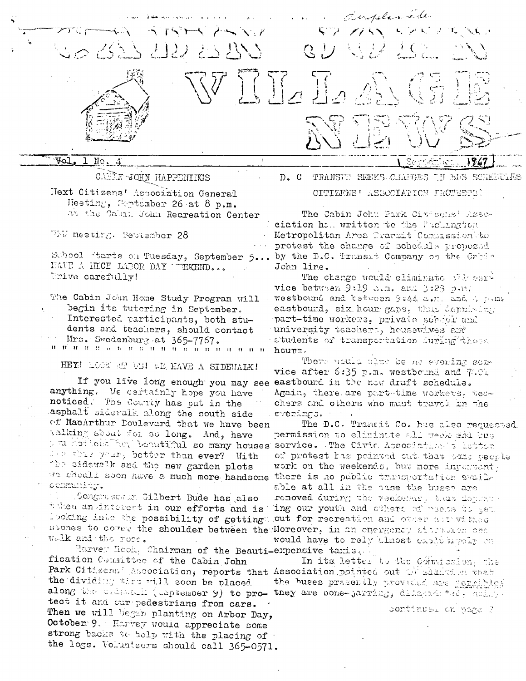

CARIN JOHN HAPPEHINGS Hext Citizens' Association General Heeting, September 26 at 8 p.m. at the Cabin John Recreation Center

WW meeting. September 28

School Warts on Tuesday, September 5... HAVE A HICE LABOR DAY WEKEND... Drive carefully!

The Cabin John Home Study Program will begin its tutering in September.

Interested participants, both stu-

dents and teachers, should contact Mrs. Swedenburg at 365-7767.  $H - H$ 

HEY! LOOK AN US! WE HAVE A SIDEWALK!

anything. We certainly hope you have noticed. The County has put in the asphalt sidewalk along the south side of MacArthur Doulevard that we have been valking about for so long. And, have are these year, better than ever? With the sidewalk and the new garden plots we should soon have a much more handsome there is no public transportation availy community.

Congressman Gilbert Bude has also tween an interest in our efforts and is looking into the possibility of gettings out for recreation and other activities svones to cover the shoulder between the Moreover, in an energoncy situation one Welk and the roce.

Marvey Hook, Chairman of the Beauti-expensive taxis. fication Committee of the Cabin John Park Citizens' Association, reports that Association pointed out theading on that the dividing theo will soon be placed. along the calment (weptember 9) to pro- they are pone-parring, diferent ted. asing tect it and car pedestrians from cars. Then we will begin planting on Arbor Day, October 9. Harrey would appreciate some strong backs to help with the placing of the logs. Volunteers should call 365-0571.

 $D. C$ TRANSIT SEEKS CIANGES TH BDS SCHEFFLES CITIZENS' ASSOCIATION FROTESTS!

The Cabin John Park Civicous: Asseciation has written to the Puchangton Metropolitan Area Transit Commission to protest the change of schedule proposed by the D.C. Transit Company on the Cabin John line.

The change would eliminate with service between 9:19 dim. and 3:23 p.m. westbound and between 9:44 c.m. and 4 p.m. eastbound, six hour gaps, thus depriming part-time workers. private school and university teachers, housewives and students of transportation during these hours.

There would also be no evening somvice after 6:35 p.m. westbound and 7:01 If you live long enough you may see eastbound in the new draft schedule. Again, there are part time workers. teachers and others who must travel in the evenings.

The D.C. Transit Co. has also requested permission to eliminate all geodeshi bus I E sandicee. The behatiful so many houses service. The Civic Association s letter of protest has pointed out that some people work on the weekends, but more invertent. able at all in the pase the buses are removed during the veckends, thus doplar ing our youth and others of messes to get. would have to rely almost excite signify on

> In its letter to the Commission. the the buses presently provided are geneibles

> > continued on page ?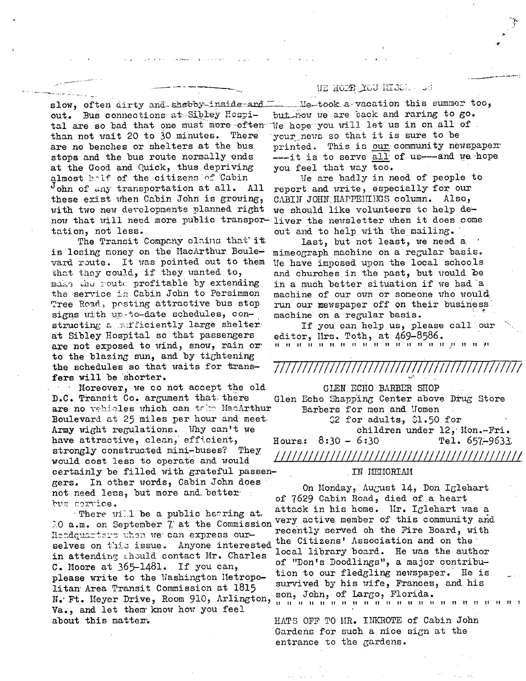slow, often dirty and shabby-inside-and out. Bus connections at Sibley Hospital are so bad that one must more often than not wait 20 to 30 minutes. There are no benches or shelters at the bus stops and the bus route normally ends at the Good and Quick, thus depriving almost half of the citizens of Cabin John of any transportation at all. All these exist when Cabin John is growing, with two new developments planned right now that will need more public transportation, not less.

The Transit Company clains that it is losing money on the MacArthur Boulevard route. It was pointed out to them that they could, if they wanted to, make the route profitable by extending the service in Cabin John to Persimmon Tree Road, posting attractive bus stop signs with up-to-date schedules, constructing a multiciently large shelter at Sibley Hospital so that passengers are not exposed to wind, snow, rain or to the blazing sun, and by tightening the schedules so that waits for transfers will be shorter.

Moreover, we co not accept the old  $\sim$ D.C. Transit Co. argument that there are no vehicles which can take MacArthur Boulevard at 25 miles per hour and meet Army wight regulations. Why can't we have attractive, clean, efficient, strongly constructed mini-buses? They would cost less to operate and would certainly be filled with grateful passengers. In other words, Cabin John does not need less, but more and better bus corrice.

There will be a public hetring at. 10 a.m. on September 7 at the Commission Hendquarters when we can express ourselves on this issue. Anyone interested in attending should contact Mr. Charles C. Moore at 365-1481. If you can, please write to the Washington Metropolitan Area Transit Commission at 1815 N. Ft. Meyer Drive, Room 910, Arlington, Va., and let them know how you feel about this matter.

## UE HOTE YOU HISSI .. . . .

 $\mu$ -took a-vacation this summer too. but now we are back and raring to go. We hope you will let us in on all of. your news so that it is sure to be printed. This is our community newspaper ----it is to serve all of us---and we hope you feel that way too.

We are badly in need of people to report and write, especially for our CABIN JOHN HAPPENINGS column. Also, we should like volunteers to help deliver the newsletter when it does come out and to help with the mailing.

last, but not least, we need a mimeograph machine on a regular basis. We have imposed upon the local schools and churches in the past, but would be in a much better situation if we had a machine of our own or someone who would run our mewspaper off on their business. machine on a regular basis.

If you can help us, please call our editor, Mrs. Toth, at 469-8586.

/////////////

GLEN ECHO BARBER SHOP Glen Echo Shapping Center above Drug Store Barbers for men and Momen  $$2$  for adults,  $$1.50$  for children under 12, Mon.-Fri. Hours:  $8:30 - 6:30$ Tel.  $657 - 9633$ 

## IN MEMORIAM

On Monday, August 14, Don Iglehart of 7629 Cabin Road, died of a heart attack in his home. Mr. Iglehart was a very active member of this community and recently served oh the Fire Board, with the Citizens' Association and on the local library board. He was the author of "Don's Doodlings", a major contribution to our fledgling newspaper. He is survived by his wife, Frances, and his son, John, of Largo, Florida. 

HATS OFF TO HR. INKROTE of Cabin John Gardens for such a nice sign at the entrance to the gardens.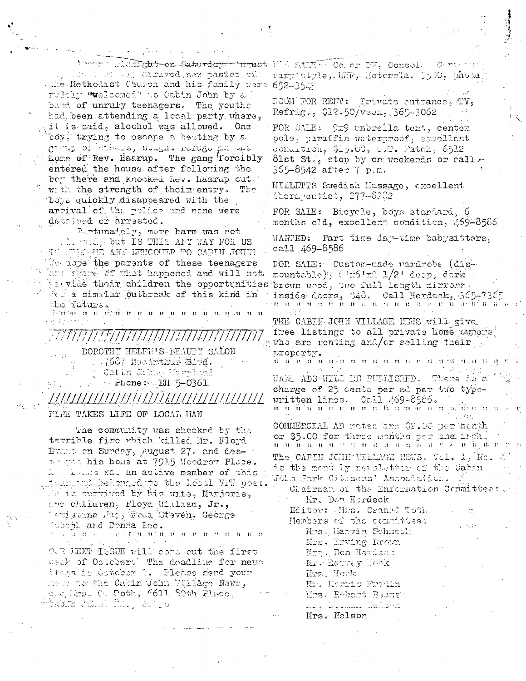Wound Educions-on-Saturday- troust MA SAFT- Co. or TV, Consol. my min to state; ammired new paster of the Methodist Church and his family were 652-3549 rulely "welcomed" to Cabin John by a band of unruly teenagers. The youths had been attending a local party where, it is said, alcohol was allowed. One boy, trying to escape a beating by a  $\mathcal{C}^{\frac{1}{2}}$ ിന്ന് പെപ്പിന് പെപ്പിന്റെ പ്ര home of Rev. Haarup. The gang forcibly entered the house after following the ber there and knocked hev. Haarup cut.  $\sim$  with the strength of their entry. The boys quickly disappeared with the arrival of the police and none were depained or arrested.

ta ann an

Funtunatoly, more harm was not.

Mostephert IS THES AFY WAY FOR US AND WELCOME ANY WENCOMER TO CARIN JOHN? Me isse the parents of these teenagers Thus spane 82 mhat happened and will not provide their children the opportunities brown wood, two full length minrong this kind in the similar outbreak of this kind in the future.

ि विधि के संसद मोहमों से संसद में साथ साथ में मुक़ाम मुक़े से संसद

771171121111111111111111 DOROTHY HELEN'S BEAUTY SALON . 7687 Moodmthere Blad. ) Gatin Kıbış We<sup>l</sup>înk  $\sim$  Phone:  $\sim$  EH 5-0361.

FIRE TAKES LIFE OF LOCAL HAN

The community was shocked by the terrible fire which killed Mr. Floyd Erant on Sunday, August 27. and desterman his home at 7915 Moodrow Place. I was was an active member of this la sumers helonged to the loool VM post. Al is currived by his wite, Marjorie, the children, Floyd Witliam, Jr., Geristina Hap, Faud, Steven. George Ween and Donna Lee. the constant of the constant of the constant of the constant of the constant of the constant of the constant of the constant of the constant of the constant of the constant of the constant of the constant of the constant o

O.R LEXT ISSUE will come out the first user of Octobert The deadline for news itans in October O. Please send your Mode to the Cabin John Willage News, Carling, C. Coth, 6611 80th Flaos,

Composition rary style, UMP, Motorola, CyDO, phose

不然

FOOM FOR RENT: Private entrance, TV, Refrig., \$12.50/week, 365-3062

FOR SALE: 9x9 umbrella tent, center pole, paraffin waterproof, expellent condition, \$19.00, C.T. Patch, 6512 81st St., stop by on weekends or call. 365-8542 after 7 p.m.

MILLLTTS Swedish Massage, cxcellent Cherapeutist, 277-8202

FOR SALE: Bicycle, boys standard, 6 months old, excellent condition, 459-8586

WANTED: Part time day-time babysitters. call 469-8586

FOR SALE: Custom-made wardrobe (dismountable),  $(1\pi 6 \pi 2 / 2 + \text{deco}, \text{dark})$ inside doors, 048. Call Herdsck, 565-7365 मा भावा में सा में में भी भी भी भी भी साथ पर सहसा में अन्में भी भी भी भी  $\pm 1.1\pm 1.$ THE CABIN JOHN VILLAGE HENS will give.

free listings to all private home cuners who are renting and/or selling their. property.

in na isaan usu na manaan in manaan maraan n  $\Delta\Delta$ WANI ADS WILL DE PUELISKED. There is a charge of 25 cents per ad per two typewritten lines. Call 269-8586.

के से के विजय से बाद को साबादी है और बात से बाद के बीटें पर बाद COMMERCIAL AD rates are 02.00 per month or \$5.00 for three months per ane ingha म से में अन्म भी अन्य से हम अन्य के बारे का में में मुक्त अन्य The CAPIN JOUN VILLAGE NEWS, Vol. 1, Wo. 4 is the ment by newsletter of the Catin Jöln Park Citlsens: Association.

Chairman of the Enromation Committee: Mr. Don Herdeck

Editor: Hem. Craned Toth Hembers of the compitees: Mrs. Harvin Schneel: Mrs. Hrving Leoun Mrg. Don Herdsolf Mr. Hattve y Hook Mrs. Hook Mr. Korris Fridin Urs. Robert Beans ni silanini kelova Mrs. Nelson